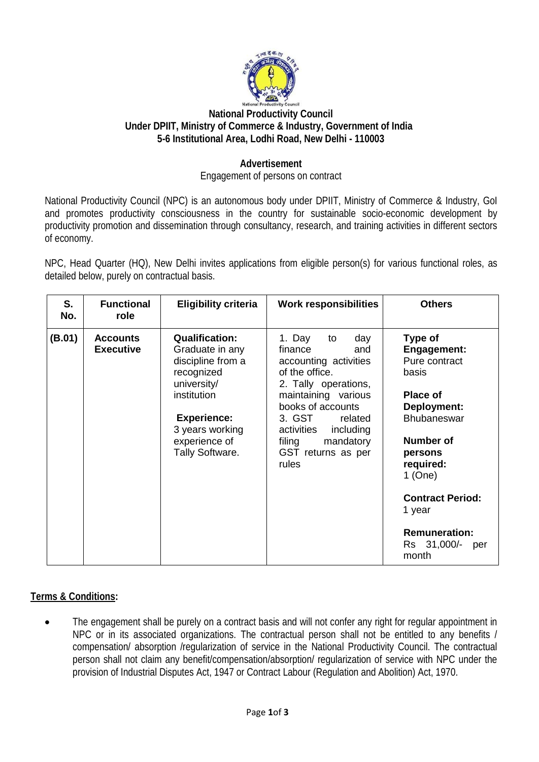

## **National Productivity Council Under DPIIT, Ministry of Commerce & Industry, Government of India 5-6 Institutional Area, Lodhi Road, New Delhi - 110003**

## **Advertisement**

#### Engagement of persons on contract

National Productivity Council (NPC) is an autonomous body under DPIIT, Ministry of Commerce & Industry, GoI and promotes productivity consciousness in the country for sustainable socio-economic development by productivity promotion and dissemination through consultancy, research, and training activities in different sectors of economy.

NPC, Head Quarter (HQ), New Delhi invites applications from eligible person(s) for various functional roles, as detailed below, purely on contractual basis.

| S.<br>No. | <b>Functional</b><br>role           | <b>Eligibility criteria</b>                                                                                                                                                            | <b>Work responsibilities</b>                                                                                                                                                                                                                         | <b>Others</b>                                                                                                                                                                                                                                                        |
|-----------|-------------------------------------|----------------------------------------------------------------------------------------------------------------------------------------------------------------------------------------|------------------------------------------------------------------------------------------------------------------------------------------------------------------------------------------------------------------------------------------------------|----------------------------------------------------------------------------------------------------------------------------------------------------------------------------------------------------------------------------------------------------------------------|
| (B.01)    | <b>Accounts</b><br><b>Executive</b> | <b>Qualification:</b><br>Graduate in any<br>discipline from a<br>recognized<br>university/<br>institution<br><b>Experience:</b><br>3 years working<br>experience of<br>Tally Software. | 1. Day<br>day<br>to<br>finance<br>and<br>accounting activities<br>of the office.<br>2. Tally operations,<br>maintaining various<br>books of accounts<br>3. GST related<br>activities including<br>mandatory<br>filing<br>GST returns as per<br>rules | Type of<br><b>Engagement:</b><br>Pure contract<br>basis<br><b>Place of</b><br>Deployment:<br><b>Bhubaneswar</b><br><b>Number of</b><br>persons<br>required:<br>$1$ (One)<br><b>Contract Period:</b><br>1 year<br><b>Remuneration:</b><br>Rs 31,000/-<br>per<br>month |

#### **Terms & Conditions:**

• The engagement shall be purely on a contract basis and will not confer any right for regular appointment in NPC or in its associated organizations. The contractual person shall not be entitled to any benefits / compensation/ absorption /regularization of service in the National Productivity Council. The contractual person shall not claim any benefit/compensation/absorption/ regularization of service with NPC under the provision of Industrial Disputes Act, 1947 or Contract Labour (Regulation and Abolition) Act, 1970.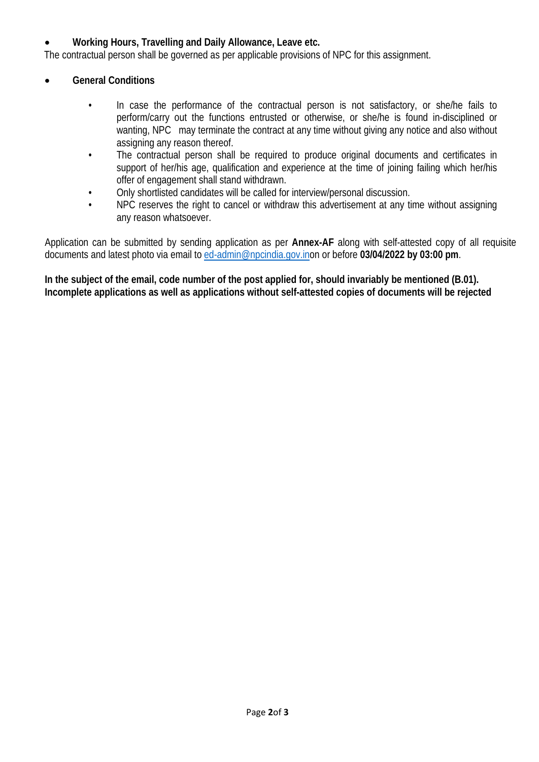## • **Working Hours, Travelling and Daily Allowance, Leave etc.**

The contractual person shall be governed as per applicable provisions of NPC for this assignment.

#### • **General Conditions**

- In case the performance of the contractual person is not satisfactory, or she/he fails to perform/carry out the functions entrusted or otherwise, or she/he is found in-disciplined or wanting, NPC may terminate the contract at any time without giving any notice and also without assigning any reason thereof.
- The contractual person shall be required to produce original documents and certificates in support of her/his age, qualification and experience at the time of joining failing which her/his offer of engagement shall stand withdrawn.
- Only shortlisted candidates will be called for interview/personal discussion.
- NPC reserves the right to cancel or withdraw this advertisement at any time without assigning any reason whatsoever.

Application can be submitted by sending application as per **Annex-AF** along with self-attested copy of all requisite documents and latest photo via email to [ed-admin@npcindia.gov.ino](mailto:ed-admin@npcindia.gov.in)n or before **03/04/2022 by 03:00 pm**.

In the subject of the email, code number of the post applied for, should invariably be mentioned (B.01). **Incomplete applications as well as applications without self-attested copies of documents will be rejected**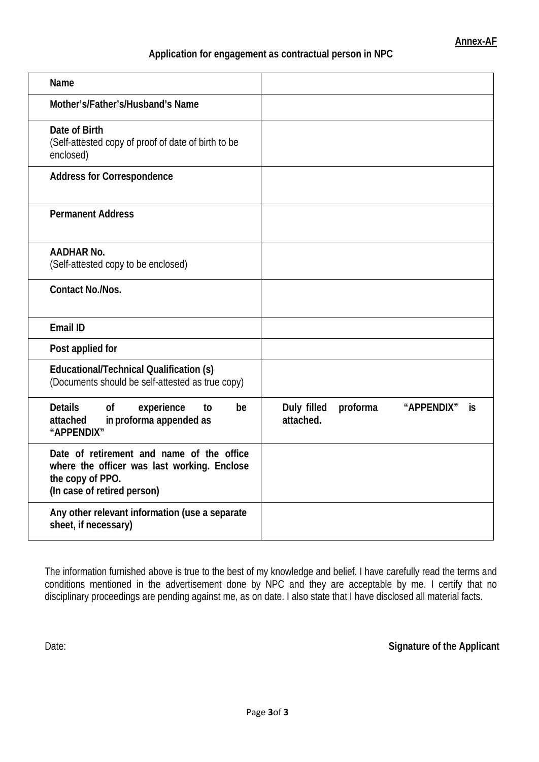#### **Application for engagement as contractual person in NPC**

| Name                                                                                                                                        |                                                          |
|---------------------------------------------------------------------------------------------------------------------------------------------|----------------------------------------------------------|
| Mother's/Father's/Husband's Name                                                                                                            |                                                          |
| Date of Birth<br>(Self-attested copy of proof of date of birth to be<br>enclosed)                                                           |                                                          |
| <b>Address for Correspondence</b>                                                                                                           |                                                          |
| <b>Permanent Address</b>                                                                                                                    |                                                          |
| <b>AADHAR No.</b><br>(Self-attested copy to be enclosed)                                                                                    |                                                          |
| <b>Contact No./Nos.</b>                                                                                                                     |                                                          |
| Email ID                                                                                                                                    |                                                          |
| Post applied for                                                                                                                            |                                                          |
| <b>Educational/Technical Qualification (s)</b><br>(Documents should be self-attested as true copy)                                          |                                                          |
| <b>Details</b><br>experience<br><sub>of</sub><br>be<br>to<br>in proforma appended as<br>attached<br>"APPENDIX"                              | Duly filled<br>proforma<br>"APPENDIX"<br>İS<br>attached. |
| Date of retirement and name of the office<br>where the officer was last working. Enclose<br>the copy of PPO.<br>(In case of retired person) |                                                          |
| Any other relevant information (use a separate<br>sheet, if necessary)                                                                      |                                                          |

The information furnished above is true to the best of my knowledge and belief. I have carefully read the terms and conditions mentioned in the advertisement done by NPC and they are acceptable by me. I certify that no disciplinary proceedings are pending against me, as on date. I also state that I have disclosed all material facts.

Date: **Signature** of the Applicant